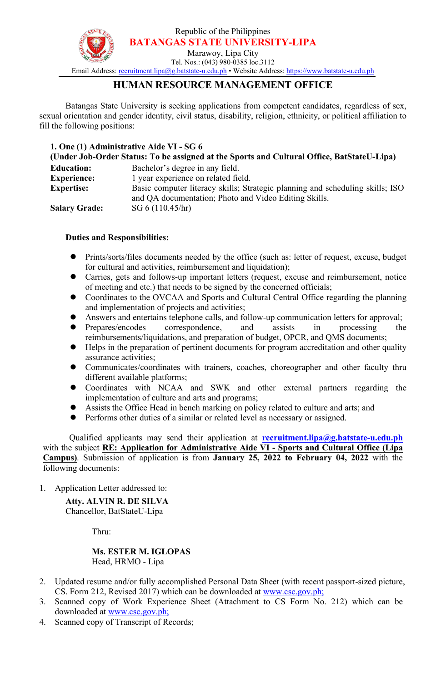Republic of the Philippines **BATANGAS STATE UNIVERSITY-LIPA**



Marawoy, Lipa City Tel. Nos.: (043) 980-0385 loc.3112

Email Address: [recruitment.lipa@g.batstate-u.edu.ph](mailto:recruitment.lipa@g.batstate-u.edu.ph) • Website Address: [https://www.batstate-u.edu.ph](http://www.batstate-u.edu.ph)

# **HUMAN RESOURCE MANAGEMENT OFFICE**

Batangas State University is seeking applications from competent candidates, regardless of sex, sexual orientation and gender identity, civil status, disability, religion, ethnicity, or political affiliation to fill the following positions:

## **1. One (1) Administrative Aide VI - SG 6**

| Bachelor's degree in any field.<br><b>Education:</b><br>l year experience on related field.<br><b>Experience:</b><br>Basic computer literacy skills; Strategic planning and scheduling skills; ISO<br><b>Expertise:</b><br>and QA documentation; Photo and Video Editing Skills.<br>SG 6(110.45/hr)<br><b>Salary Grade:</b> | (Under Job-Order Status: To be assigned at the Sports and Cultural Office, BatStateU-Lipa) |  |
|-----------------------------------------------------------------------------------------------------------------------------------------------------------------------------------------------------------------------------------------------------------------------------------------------------------------------------|--------------------------------------------------------------------------------------------|--|
|                                                                                                                                                                                                                                                                                                                             |                                                                                            |  |
|                                                                                                                                                                                                                                                                                                                             |                                                                                            |  |
|                                                                                                                                                                                                                                                                                                                             |                                                                                            |  |
|                                                                                                                                                                                                                                                                                                                             |                                                                                            |  |
|                                                                                                                                                                                                                                                                                                                             |                                                                                            |  |

## **Duties and Responsibilities:**

- Prints/sorts/files documents needed by the office (such as: letter of request, excuse, budget for cultural and activities, reimbursement and liquidation);
- Carries, gets and follows-up important letters (request, excuse and reimbursement, notice of meeting and etc.) that needs to be signed by the concerned officials;
- Coordinates to the OVCAA and Sports and Cultural Central Office regarding the planning and implementation of projects and activities;
- Answers and entertains telephone calls, and follow-up communication letters for approval;
- Prepares/encodes correspondence, and assists in processing the reimbursements/liquidations, and preparation of budget, OPCR, and QMS documents;
- Helps in the preparation of pertinent documents for program accreditation and other quality assurance activities;
- Communicates/coordinates with trainers, coaches, choreographer and other faculty thru different available platforms;
- Coordinates with NCAA and SWK and other external partners regarding the implementation of culture and arts and programs;
- Assists the Office Head in bench marking on policy related to culture and arts; and
- Performs other duties of a similar or related level as necessary or assigned.

Qualified applicants may send their application at **[recruitment.lipa@g.batstate-u.edu.ph](mailto:recruitment.lipa@g.batstate-u.edu.ph)** with the subject**RE: Application for Administrative Aide VI -Sports and Cultural Office (Lipa Campus)**. Submission of application is from **January 25, 2022 to February 04, 2022** with the following documents:

1. Application Letter addressed to:

**Atty. ALVIN R. DE SILVA** Chancellor, BatStateU-Lipa

Thru:

#### **Ms. ESTER M. IGLOPAS** Head, HRMO - Lipa

- 2. Updated resume and/or fully accomplished Personal Data Sheet (with recent passport-sized picture, CS. Form 212, Revised 2017) which can be downloaded at [www.csc.gov.ph;](http://www.csc.gov.ph;)
- 3. Scanned copy of Work Experience Sheet (Attachment to CS Form No. 212) which can be downloaded at [www.csc.gov.ph;](http://www.csc.gov.ph;)
- 4. Scanned copy of Transcript of Records;